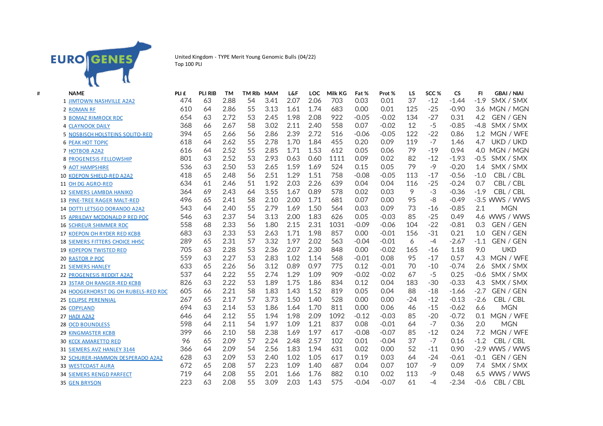

United Kingdom - TYPE Merit Young Genomic Bulls (04/22) Top 100 PLI

| # | <b>NAME</b>                           | PLI £ | <b>PLI RIB</b> | <b>TM</b> | <b>TM RIb</b> | <b>MAM</b> | <b>L&amp;F</b> | LOC. | Milk KG | Fat %   | Prot %  | LS    | SCC <sub>%</sub> | <b>CS</b> | <b>GBAI / NIAI</b><br>FI.  |
|---|---------------------------------------|-------|----------------|-----------|---------------|------------|----------------|------|---------|---------|---------|-------|------------------|-----------|----------------------------|
|   | <b>1 JIMTOWN NASHVILLE A2A2</b>       | 474   | 63             | 2.88      | 54            | 3.41       | 2.07           | 2.06 | 703     | 0.03    | 0.01    | 37    | $-12$            | $-1.44$   | $-1.9$<br>SMX / SMX        |
|   | 2 ROMAN RF                            | 610   | 64             | 2.86      | 55            | 3.13       | 1.61           | 1.74 | 683     | 0.00    | 0.01    | 125   | $-25$            | $-0.90$   | 3.6<br>MGN / MGN           |
|   | <b>3 BOMAZ RIMROCK RDC</b>            | 654   | 63             | 2.72      | 53            | 2.45       | 1.98           | 2.08 | 922     | $-0.05$ | $-0.02$ | 134   | $-27$            | 0.31      | 4.2<br>GEN / GEN           |
|   | <b>4 CLAYNOOK DAILY</b>               | 368   | 66             | 2.67      | 58            | 3.02       | 2.11           | 2.40 | 558     | 0.07    | $-0.02$ | 12    | $-5$             | $-0.85$   | $-4.8$<br>SMX / SMX        |
|   | 5 NOSBISCH HOLSTEINS SOLITO-RED       | 394   | 65             | 2.66      | 56            | 2.86       | 2.39           | 2.72 | 516     | $-0.06$ | $-0.05$ | 122   | $-22$            | 0.86      | MGN / WFE<br>1.2           |
|   | <b>6 PEAK HOT TOPIC</b>               | 618   | 64             | 2.62      | 55            | 2.78       | 1.70           | 1.84 | 455     | 0.20    | 0.09    | 119   | $-7$             | 1.46      | 4.7<br>UKD / UKD           |
|   | <b>7 HOTBOB A2A2</b>                  | 616   | 64             | 2.52      | 55            | 2.85       | 1.71           | 1.53 | 612     | 0.05    | 0.06    | 79    | $-19$            | 0.94      | 4.0 MGN / MGN              |
|   | <b>8 PROGENESIS FELLOWSHIP</b>        | 801   | 63             | 2.52      | 53            | 2.93       | 0.63           | 0.60 | 1111    | 0.09    | 0.02    | 82    | $-12$            | $-1.93$   | SMX / SMX<br>$-0.5$        |
|   | <b>9 AOT HAMPSHIRE</b>                | 536   | 63             | 2.50      | 53            | 2.65       | 1.59           | 1.69 | 524     | 0.15    | 0.05    | 79    | $-9$             | $-0.20$   | SMX / SMX<br>1.4           |
|   | <b>10 KOEPON SHIELD-RED A2A2</b>      | 418   | 65             | 2.48      | 56            | 2.51       | 1.29           | 1.51 | 758     | $-0.08$ | $-0.05$ | 113   | $-17$            | $-0.56$   | CBL / CBL<br>$-1.0$        |
|   | 11 OH DG AGRO-RED                     | 634   | 61             | 2.46      | 51            | 1.92       | 2.03           | 2.26 | 639     | 0.04    | 0.04    | 116   | $-25$            | $-0.24$   | CBL / CBL<br>0.7           |
|   | <b>12 SIEMERS LAMBDA HANIKO</b>       | 364   | 69             | 2.43      | 64            | 3.55       | 1.67           | 0.89 | 578     | 0.02    | 0.03    | 9     | $-3$             | $-0.36$   | $-1.9$<br>CBL / CBL        |
|   | 13 PINE-TREE RAGER MALT-RED           | 496   | 65             | 2.41      | 58            | 2.10       | 2.00           | 1.71 | 681     | 0.07    | 0.00    | 95    | -8               | $-0.49$   | -3.5 WWS / WWS             |
|   | 14 DOTTI LETSGO DORANDO A2A2          | 543   | 64             | 2.40      | 55            | 2.79       | 1.69           | 1.50 | 564     | 0.03    | 0.09    | 73    | $-16$            | $-0.85$   | 2.1<br><b>MGN</b>          |
|   | 15 APRILDAY MCDONALD P RED POC        | 546   | 63             | 2.37      | 54            | 3.13       | 2.00           | 1.83 | 626     | 0.05    | $-0.03$ | 85    | $-25$            | 0.49      | 4.6<br>WWS / WWS           |
|   | <b>16 SCHREUR SHIMMER RDC</b>         | 558   | 68             | 2.33      | 56            | 1.80       | 2.15           | 2.31 | 1031    | $-0.09$ | $-0.06$ | 104   | $-22$            | $-0.81$   | 0.3<br><b>GEN / GEN</b>    |
|   | 17 KOEPON OH RYDER RED KCBB           | 683   | 63             | 2.33      | 53            | 2.63       | 1.71           | 1.98 | 857     | 0.00    | $-0.01$ | 156   | $-31$            | 0.21      | GEN / GEN<br>1.0           |
|   | <b>18 SIEMERS FITTERS CHOICE HH5C</b> | 289   | 65             | 2.31      | 57            | 3.32       | 1.97           | 2.02 | 563     | $-0.04$ | $-0.01$ | 6     | $-4$             | $-2.67$   | $-1.1$<br>GEN / GEN        |
|   | <b>19 KOPEPON TWISTED RED</b>         | 705   | 63             | 2.28      | 53            | 2.36       | 2.07           | 2.30 | 848     | 0.00    | $-0.02$ | 165   | $-16$            | 1.18      | <b>UKD</b><br>9.0          |
|   | <b>20 RASTOR P POC</b>                | 559   | 63             | 2.27      | 53            | 2.83       | 1.02           | 1.14 | 568     | $-0.01$ | 0.08    | 95    | $-17$            | 0.57      | MGN / WFE<br>4.3           |
|   | <b>21 SIEMERS HANLEY</b>              | 633   | 65             | 2.26      | 56            | 3.12       | 0.89           | 0.97 | 775     | 0.12    | $-0.01$ | 70    | $-10$            | $-0.74$   | SMX / SMX<br>2.6           |
|   | <b>22 PROGENESIS REDDIT A2A2</b>      | 537   | 64             | 2.22      | 55            | 2.74       | 1.29           | 1.09 | 909     | $-0.02$ | $-0.02$ | 67    | $-5$             | 0.25      | SMX / SMX<br>$-0.6$        |
|   | 23 3STAR OH RANGER-RED KCBB           | 826   | 63             | 2.22      | 53            | 1.89       | 1.75           | 1.86 | 834     | 0.12    | 0.04    | 183   | $-30$            | $-0.33$   | 4.3<br>SMX / SMX           |
|   | 24 HOOGERHORST DG OH RUBELS-RED RDC   | 605   | 66             | 2.21      | 58            | 1.83       | 1.43           | 1.52 | 819     | 0.05    | 0.04    | 88    | $-18$            | $-1.66$   | $-2.7$<br><b>GEN / GEN</b> |
|   | 25 ECLIPSE PERENNIAL                  | 267   | 65             | 2.17      | 57            | 3.73       | 1.50           | 1.40 | 528     | 0.00    | 0.00    | $-24$ | $-12$            | $-0.13$   | $-2.6$<br>CBL / CBL        |
|   | 26 COPYLAND                           | 694   | 63             | 2.14      | 53            | 1.86       | 1.64           | 1.70 | 811     | 0.00    | 0.06    | 46    | $-15$            | $-0.62$   | <b>MGN</b><br>6.6          |
|   | 27 HADI A2A2                          | 646   | 64             | 2.12      | 55            | 1.94       | 1.98           | 2.09 | 1092    | $-0.12$ | $-0.03$ | 85    | $-20$            | $-0.72$   | 0.1<br>MGN / WFE           |
|   | <b>28 OCD BOUNDLESS</b>               | 598   | 64             | 2.11      | 54            | 1.97       | 1.09           | 1.21 | 837     | 0.08    | $-0.01$ | 64    | $-7$             | 0.36      | 2.0<br><b>MGN</b>          |
|   | <b>29 KINGMASTER KCBB</b>             | 399   | 66             | 2.10      | 58            | 2.38       | 1.69           | 1.97 | 617     | $-0.08$ | $-0.07$ | 85    | $-12$            | 0.24      | 7.2<br>MGN / WFE           |
|   | <b>30 KCCK AMARETTO RED</b>           | 96    | 65             | 2.09      | 57            | 2.24       | 2.48           | 2.57 | 102     | 0.01    | $-0.04$ | 37    | $-7$             | 0.16      | $-1.2$<br>CBL / CBL        |
|   | 31 SIEMERS AVZ HANLEY 3144            | 366   | 64             | 2.09      | 54            | 2.56       | 1.83           | 1.94 | 631     | 0.02    | 0.00    | 52    | $-11$            | 0.90      | $-2.9$ WWS / WWS           |
|   | 32 SCHURER-HAMMON DESPERADO A2A2      | 628   | 63             | 2.09      | 53            | 2.40       | 1.02           | 1.05 | 617     | 0.19    | 0.03    | 64    | $-24$            | $-0.61$   | GEN / GEN<br>$-0.1$        |
|   | <b>33 WESTCOAST AURA</b>              | 672   | 65             | 2.08      | 57            | 2.23       | 1.09           | 1.40 | 687     | 0.04    | 0.07    | 107   | $-9$             | 0.09      | 7.4<br>SMX / SMX           |
|   | <b>34 SIEMERS RENGD PARFECT</b>       | 719   | 64             | 2.08      | 55            | 2.01       | 1.66           | 1.76 | 882     | 0.10    | 0.02    | 113   | $-9$             | 0.48      | WWS / WWS<br>6.5           |
|   | <b>35 GEN BRYSON</b>                  | 223   | 63             | 2.08      | 55            | 3.09       | 2.03           | 1.43 | 575     | $-0.04$ | $-0.07$ | 61    | $-4$             | $-2.34$   | CBL / CBL<br>$-0.6$        |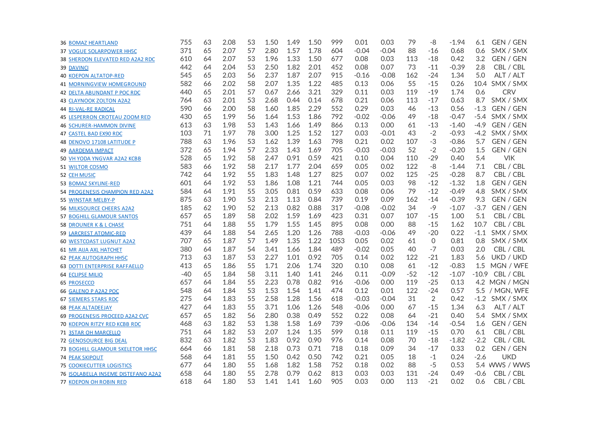| <b>36 BOMAZ HEARTLAND</b>                  | 755   | 63 | 2.08 | 53 | 1.50 | 1.49 | 1.50 | 999  | 0.01    | 0.03    | 79    | -8             | $-1.94$ | 6.1     | GEN / GEN        |
|--------------------------------------------|-------|----|------|----|------|------|------|------|---------|---------|-------|----------------|---------|---------|------------------|
| 37 VOGUE SOLARPOWER HH5C                   | 371   | 65 | 2.07 | 57 | 2.80 | 1.57 | 1.78 | 604  | $-0.04$ | $-0.04$ | 88    | -16            | 0.68    | 0.6     | SMX / SMX        |
| 38 SHERDON ELEVATED RED A2A2 RDC           | 610   | 64 | 2.07 | 53 | 1.96 | 1.33 | 1.50 | 677  | 0.08    | 0.03    | 113   | -18            | 0.42    | 3.2     | <b>GEN / GEN</b> |
| <b>39 DAVINCI</b>                          | 442   | 64 | 2.04 | 53 | 2.50 | 1.82 | 2.01 | 452  | 0.08    | 0.07    | 73    | $-11$          | $-0.39$ | 2.8     | CBL / CBL        |
| <b>40 KOEPON ALTATOP-RED</b>               | 545   | 65 | 2.03 | 56 | 2.37 | 1.87 | 2.07 | 915  | $-0.16$ | $-0.08$ | 162   | $-24$          | 1.34    | 5.0     | ALT / ALT        |
| <b>41 MORNINGVIEW HOMEGROUND</b>           | 582   | 66 | 2.02 | 58 | 2.07 | 1.35 | 1.22 | 485  | 0.13    | 0.06    | 55    | $-15$          | 0.26    |         | 10.4 SMX / SMX   |
| <b>42 DELTA ABUNDANT P POC RDC</b>         | 440   | 65 | 2.01 | 57 | 0.67 | 2.66 | 3.21 | 329  | 0.11    | 0.03    | 119   | $-19$          | 1.74    | 0.6     | <b>CRV</b>       |
| <b>43 CLAYNOOK ZOLTON A2A2</b>             | 764   | 63 | 2.01 | 53 | 2.68 | 0.44 | 0.14 | 678  | 0.21    | 0.06    | 113   | $-17$          | 0.63    | 8.7     | SMX / SMX        |
| <b>44 RI-VAL-RE RADICAL</b>                | 590   | 66 | 2.00 | 58 | 1.60 | 1.85 | 2.29 | 552  | 0.29    | 0.03    | 46    | $-13$          | 0.56    | $-1.3$  | GEN / GEN        |
| <b>45 LESPERRON CROTEAU ZOOM RED</b>       | 430   | 65 | 1.99 | 56 | 1.64 | 1.53 | 1.86 | 792  | $-0.02$ | $-0.06$ | 49    | $-18$          | $-0.47$ | $-5.4$  | SMX / SMX        |
| <b>46 SCHURER-HAMMON DIVINE</b>            | 613   | 63 | 1.98 | 53 | 1.43 | 1.66 | 1.49 | 866  | 0.13    | 0.00    | 61    | $-13$          | $-1.40$ | $-4.9$  | GEN / GEN        |
| 47 CASTEL BAD EX90 RDC                     | 103   | 71 | 1.97 | 78 | 3.00 | 1.25 | 1.52 | 127  | 0.03    | $-0.01$ | 43    | $-2$           | $-0.93$ |         | -4.2 SMX / SMX   |
| 48 DENOVO 17108 LATITUDE P                 | 788   | 63 | 1.96 | 53 | 1.62 | 1.39 | 1.63 | 798  | 0.21    | 0.02    | 107   | $-3$           | $-0.86$ | 5.7     | GEN / GEN        |
| <b>49 AARDEMA IMPACT</b>                   | 372   | 65 | 1.94 | 57 | 2.33 | 1.43 | 1.69 | 705  | $-0.03$ | $-0.03$ | 52    | $-2$           | $-0.20$ | 1.5     | GEN / GEN        |
| 50 VH YODA YNGVAR A2A2 KCBB                | 528   | 65 | 1.92 | 58 | 2.47 | 0.91 | 0.59 | 421  | 0.10    | 0.04    | 110   | $-29$          | 0.40    | 5.4     | <b>VIK</b>       |
| <b>51 WILTOR COSMO</b>                     | 583   | 66 | 1.92 | 58 | 2.17 | 1.77 | 2.04 | 659  | 0.05    | 0.02    | 122   | -8             | $-1.44$ | 7.1     | CBL / CBL        |
| 52 CEH MUSIC                               | 742   | 64 | 1.92 | 55 | 1.83 | 1.48 | 1.27 | 825  | 0.07    | 0.02    | 125   | $-25$          | $-0.28$ | 8.7     | CBL / CBL        |
| 53 BOMAZ SKYLINE-RED                       | 601   | 64 | 1.92 | 53 | 1.86 | 1.08 | 1.21 | 744  | 0.05    | 0.03    | 98    | $-12$          | $-1.32$ | 1.8     | GEN / GEN        |
| 54 PROGENESIS CHAMPION RED A2A2            | 584   | 64 | 1.91 | 55 | 3.05 | 0.81 | 0.59 | 633  | 0.08    | 0.06    | 79    | $-12$          | $-0.49$ | 4.8     | SMX / SMX        |
| 55 WINSTAR MELBY-P                         | 875   | 63 | 1.90 | 53 | 2.13 | 1.13 | 0.84 | 739  | 0.19    | 0.09    | 162   | $-14$          | $-0.39$ | 9.3     | GEN / GEN        |
| <b>56 MILKSOURCE CHEERS A2A2</b>           | 185   | 62 | 1.90 | 52 | 2.13 | 0.82 | 0.88 | 317  | $-0.08$ | $-0.02$ | 34    | $-9$           | $-1.07$ | $-3.7$  | <b>GEN / GEN</b> |
| <b>57 BOGHILL GLAMOUR SANTOS</b>           | 657   | 65 | 1.89 | 58 | 2.02 | 1.59 | 1.69 | 423  | 0.31    | 0.07    | 107   | -15            | 1.00    | 5.1     | CBL / CBL        |
| 58 DROUNER K & L CHASE                     | 751   | 64 | 1.88 | 55 | 1.79 | 1.55 | 1.45 | 895  | 0.08    | 0.00    | 88    | $-15$          | 1.62    | 10.7    | CBL / CBL        |
| <b>59 LARCREST ATOMIC-RED</b>              | 439   | 64 | 1.88 | 54 | 2.65 | 1.20 | 1.26 | 788  | $-0.03$ | $-0.06$ | 49    | $-20$          | 0.22    | $-1.1$  | SMX / SMX        |
| <b>60 WESTCOAST LUGNUT A2A2</b>            | 707   | 65 | 1.87 | 57 | 1.49 | 1.35 | 1.22 | 1053 | 0.05    | 0.02    | 61    | 0              | 0.81    | 0.8     | SMX / SMX        |
| 61 MR AIJA AXL HATCHET                     | 380   | 64 | 1.87 | 54 | 3.41 | 1.66 | 1.84 | 489  | $-0.02$ | 0.05    | 40    | $-7$           | 0.03    | 2.0     | CBL / CBL        |
| <b>62 PEAK AUTOGRAPH HH5C</b>              | 713   | 63 | 1.87 | 53 | 2.27 | 1.01 | 0.92 | 705  | 0.14    | 0.02    | 122   | $-21$          | 1.83    | 5.6     | UKD / UKD        |
| <b>63 DOTTI ENTERPRISE RAFFAELLO</b>       | 413   | 65 | 1.86 | 55 | 1.71 | 2.06 | 1.74 | 320  | 0.10    | 0.08    | 61    | $-12$          | $-0.83$ | 1.5     | MGN / WFE        |
| 64 ECLIPSE MILIO                           | $-40$ | 65 | 1.84 | 58 | 3.11 | 1.40 | 1.41 | 246  | 0.11    | $-0.09$ | $-52$ | $-12$          | $-1.07$ | $-10.9$ | CBL / CBL        |
| 65 PROSECCO                                | 657   | 64 | 1.84 | 55 | 2.23 | 0.78 | 0.82 | 916  | $-0.06$ | 0.00    | 119   | $-25$          | 0.13    |         | 4.2 MGN / MGN    |
| 66 GALENO P A2A2 POC                       | 548   | 64 | 1.84 | 53 | 1.53 | 1.54 | 1.41 | 474  | 0.12    | 0.01    | 122   | $-24$          | 0.57    |         | 5.5 / MGN, WFE   |
| <b>67 SIEMERS STARS RDC</b>                | 275   | 64 | 1.83 | 55 | 2.58 | 1.28 | 1.56 | 618  | $-0.03$ | $-0.04$ | 31    | $\overline{2}$ | 0.42    |         | $-1.2$ SMX / SMX |
| <b>68 PEAK ALTADEEJAY</b>                  | 427   | 64 | 1.83 | 55 | 3.71 | 1.06 | 1.26 | 548  | $-0.06$ | 0.00    | 67    | $-15$          | 1.34    | 6.3     | ALT / ALT        |
| 69 PROGENESIS PROCEED A2A2 CVC             | 657   | 65 | 1.82 | 56 | 2.80 | 0.38 | 0.49 | 552  | 0.22    | 0.08    | 64    | $-21$          | 0.40    | 5.4     | SMX / SMX        |
| <b>70 KOEPON RITZY RED KCBB RDC</b>        | 468   | 63 | 1.82 | 53 | 1.38 | 1.58 | 1.69 | 739  | $-0.06$ | $-0.06$ | 134   | $-14$          | $-0.54$ | 1.6     | <b>GEN / GEN</b> |
| <b>71 3STAR OH MARCELLO</b>                | 751   | 64 | 1.82 | 53 | 2.07 | 1.24 | 1.35 | 599  | 0.18    | 0.11    | 119   | $-15$          | 0.70    | 6.1     | CBL / CBL        |
| <b>72 GENOSOURCE BIG DEAL</b>              | 832   | 63 | 1.82 | 53 | 1.83 | 0.92 | 0.90 | 976  | 0.14    | 0.08    | 70    | $-18$          | $-1.82$ | $-2.2$  | CBL / CBL        |
| 73 BOGHILL GLAMOUR SKELETOR HH5C           | 664   | 66 | 1.81 | 58 | 2.18 | 0.73 | 0.71 | 718  | 0.18    | 0.09    | 34    | $-17$          | 0.33    | 0.2     | GEN / GEN        |
| <b>74 PEAK SKIPOUT</b>                     | 568   | 64 | 1.81 | 55 | 1.50 | 0.42 | 0.50 | 742  | 0.21    | 0.05    | 18    | $-1$           | 0.24    | $-2.6$  | <b>UKD</b>       |
| <b>75 COOKIECUTTER LOGISTICS</b>           | 677   | 64 | 1.80 | 55 | 1.68 | 1.82 | 1.58 | 752  | 0.18    | 0.02    | 88    | $-5$           | 0.53    |         | 5.4 WWS / WWS    |
| <b>76 ISOLABELLA INSEME DISTEFANO A2A2</b> | 658   | 64 | 1.80 | 55 | 2.78 | 0.79 | 0.62 | 813  | 0.03    | 0.03    | 131   | $-24$          | 0.49    | $-0.6$  | CBL / CBL        |
| <b>77 KOEPON OH ROBIN RED</b>              | 618   | 64 | 1.80 | 53 | 1.41 | 1.41 | 1.60 | 905  | 0.03    | 0.00    | 113   | $-21$          | 0.02    | 0.6     | CBL / CBL        |